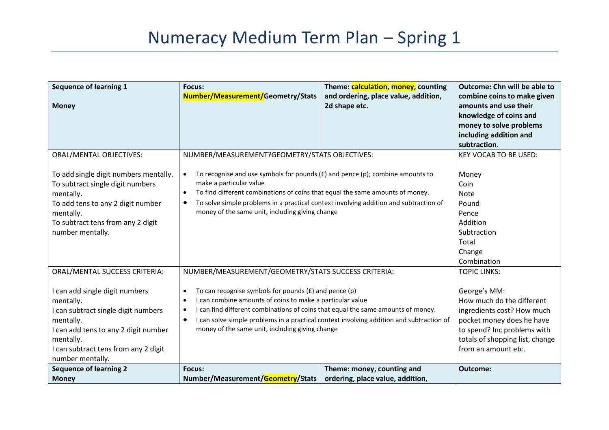| <b>Sequence of learning 1</b><br><b>Money</b>                                                                                                                                                                                                     | <b>Focus:</b><br>Number/Measurement/Geometry/Stats                                                                                                                                                                                                                                                                                                                                                                                                                   | Theme: calculation, money, counting<br>and ordering, place value, addition,<br>2d shape etc. | <b>Outcome: Chn will be able to</b><br>combine coins to make given<br>amounts and use their<br>knowledge of coins and<br>money to solve problems<br>including addition and<br>subtraction.                           |
|---------------------------------------------------------------------------------------------------------------------------------------------------------------------------------------------------------------------------------------------------|----------------------------------------------------------------------------------------------------------------------------------------------------------------------------------------------------------------------------------------------------------------------------------------------------------------------------------------------------------------------------------------------------------------------------------------------------------------------|----------------------------------------------------------------------------------------------|----------------------------------------------------------------------------------------------------------------------------------------------------------------------------------------------------------------------|
| <b>ORAL/MENTAL OBJECTIVES:</b><br>To add single digit numbers mentally.<br>To subtract single digit numbers<br>mentally.<br>To add tens to any 2 digit number<br>mentally.<br>To subtract tens from any 2 digit<br>number mentally.               | NUMBER/MEASUREMENT?GEOMETRY/STATS OBJECTIVES:<br>To recognise and use symbols for pounds $(E)$ and pence $(p)$ ; combine amounts to<br>$\bullet$<br>make a particular value<br>To find different combinations of coins that equal the same amounts of money.<br>$\bullet$<br>To solve simple problems in a practical context involving addition and subtraction of<br>$\bullet$<br>money of the same unit, including giving change                                   |                                                                                              | <b>KEY VOCAB TO BE USED:</b><br>Money<br>Coin<br><b>Note</b><br>Pound<br>Pence<br>Addition<br>Subtraction<br>Total<br>Change<br>Combination                                                                          |
| ORAL/MENTAL SUCCESS CRITERIA:<br>I can add single digit numbers<br>mentally.<br>I can subtract single digit numbers<br>mentally.<br>I can add tens to any 2 digit number<br>mentally.<br>I can subtract tens from any 2 digit<br>number mentally. | NUMBER/MEASUREMENT/GEOMETRY/STATS SUCCESS CRITERIA:<br>To can recognise symbols for pounds $(E)$ and pence $(p)$<br>$\bullet$<br>I can combine amounts of coins to make a particular value<br>$\bullet$<br>I can find different combinations of coins that equal the same amounts of money.<br>$\bullet$<br>I can solve simple problems in a practical context involving addition and subtraction of<br>$\bullet$<br>money of the same unit, including giving change |                                                                                              | <b>TOPIC LINKS:</b><br>George's MM:<br>How much do the different<br>ingredients cost? How much<br>pocket money does he have<br>to spend? Inc problems with<br>totals of shopping list, change<br>from an amount etc. |
| <b>Sequence of learning 2</b><br><b>Money</b>                                                                                                                                                                                                     | <b>Focus:</b><br>Number/Measurement/Geometry/Stats                                                                                                                                                                                                                                                                                                                                                                                                                   | Theme: money, counting and<br>ordering, place value, addition,                               | Outcome:                                                                                                                                                                                                             |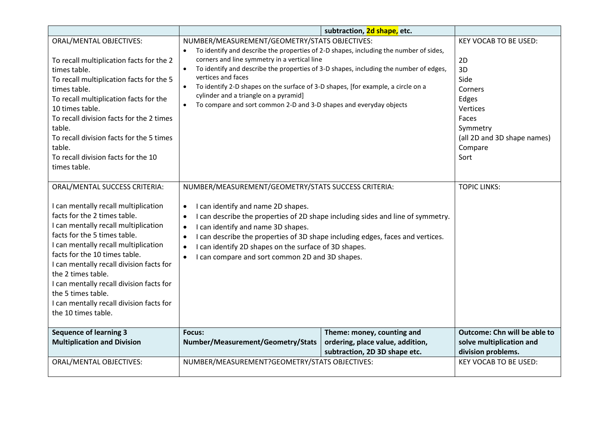|                                                                                                                                                                                                                                                                                                                                                                                                                                                               |                                                                                                                                                                                                                                                                                                                                                                                                                                                                                   | subtraction, 2d shape, etc.                                                                     |                                                                                                                                                         |
|---------------------------------------------------------------------------------------------------------------------------------------------------------------------------------------------------------------------------------------------------------------------------------------------------------------------------------------------------------------------------------------------------------------------------------------------------------------|-----------------------------------------------------------------------------------------------------------------------------------------------------------------------------------------------------------------------------------------------------------------------------------------------------------------------------------------------------------------------------------------------------------------------------------------------------------------------------------|-------------------------------------------------------------------------------------------------|---------------------------------------------------------------------------------------------------------------------------------------------------------|
| <b>ORAL/MENTAL OBJECTIVES:</b><br>To recall multiplication facts for the 2<br>times table.<br>To recall multiplication facts for the 5<br>times table.<br>To recall multiplication facts for the<br>10 times table.<br>To recall division facts for the 2 times<br>table.<br>To recall division facts for the 5 times<br>table.<br>To recall division facts for the 10<br>times table.                                                                        | NUMBER/MEASUREMENT/GEOMETRY/STATS OBJECTIVES:<br>To identify and describe the properties of 2-D shapes, including the number of sides,<br>corners and line symmetry in a vertical line<br>$\bullet$<br>vertices and faces<br>To identify 2-D shapes on the surface of 3-D shapes, [for example, a circle on a<br>$\bullet$<br>cylinder and a triangle on a pyramid]<br>To compare and sort common 2-D and 3-D shapes and everyday objects                                         | To identify and describe the properties of 3-D shapes, including the number of edges,           | <b>KEY VOCAB TO BE USED:</b><br>2D<br>3D<br>Side<br>Corners<br>Edges<br>Vertices<br>Faces<br>Symmetry<br>(all 2D and 3D shape names)<br>Compare<br>Sort |
| ORAL/MENTAL SUCCESS CRITERIA:<br>I can mentally recall multiplication<br>facts for the 2 times table.<br>I can mentally recall multiplication<br>facts for the 5 times table.<br>I can mentally recall multiplication<br>facts for the 10 times table.<br>I can mentally recall division facts for<br>the 2 times table.<br>I can mentally recall division facts for<br>the 5 times table.<br>I can mentally recall division facts for<br>the 10 times table. | NUMBER/MEASUREMENT/GEOMETRY/STATS SUCCESS CRITERIA:<br>I can identify and name 2D shapes.<br>$\bullet$<br>I can describe the properties of 2D shape including sides and line of symmetry.<br>I can identify and name 3D shapes.<br>$\bullet$<br>I can describe the properties of 3D shape including edges, faces and vertices.<br>$\bullet$<br>I can identify 2D shapes on the surface of 3D shapes.<br>$\bullet$<br>I can compare and sort common 2D and 3D shapes.<br>$\bullet$ |                                                                                                 | <b>TOPIC LINKS:</b>                                                                                                                                     |
| <b>Sequence of learning 3</b><br><b>Multiplication and Division</b>                                                                                                                                                                                                                                                                                                                                                                                           | Focus:<br>Number/Measurement/Geometry/Stats                                                                                                                                                                                                                                                                                                                                                                                                                                       | Theme: money, counting and<br>ordering, place value, addition,<br>subtraction, 2D 3D shape etc. | <b>Outcome: Chn will be able to</b><br>solve multiplication and<br>division problems.                                                                   |
| <b>ORAL/MENTAL OBJECTIVES:</b>                                                                                                                                                                                                                                                                                                                                                                                                                                | NUMBER/MEASUREMENT?GEOMETRY/STATS OBJECTIVES:                                                                                                                                                                                                                                                                                                                                                                                                                                     |                                                                                                 | <b>KEY VOCAB TO BE USED:</b>                                                                                                                            |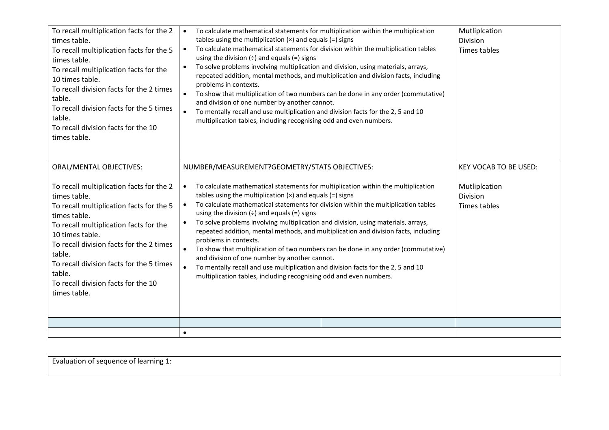| To recall multiplication facts for the 2<br>times table.<br>To recall multiplication facts for the 5<br>times table.<br>To recall multiplication facts for the<br>10 times table.<br>To recall division facts for the 2 times<br>table.<br>To recall division facts for the 5 times<br>table.<br>To recall division facts for the 10<br>times table.                                   | To calculate mathematical statements for multiplication within the multiplication<br>$\bullet$<br>tables using the multiplication $(x)$ and equals $(=)$ signs<br>To calculate mathematical statements for division within the multiplication tables<br>$\bullet$<br>using the division $(\div)$ and equals $(=)$ signs<br>To solve problems involving multiplication and division, using materials, arrays,<br>$\bullet$<br>repeated addition, mental methods, and multiplication and division facts, including<br>problems in contexts.<br>To show that multiplication of two numbers can be done in any order (commutative)<br>and division of one number by another cannot.<br>To mentally recall and use multiplication and division facts for the 2, 5 and 10<br>$\bullet$<br>multiplication tables, including recognising odd and even numbers.                                                               | Mutliplcation<br><b>Division</b><br>Times tables                                 |
|----------------------------------------------------------------------------------------------------------------------------------------------------------------------------------------------------------------------------------------------------------------------------------------------------------------------------------------------------------------------------------------|----------------------------------------------------------------------------------------------------------------------------------------------------------------------------------------------------------------------------------------------------------------------------------------------------------------------------------------------------------------------------------------------------------------------------------------------------------------------------------------------------------------------------------------------------------------------------------------------------------------------------------------------------------------------------------------------------------------------------------------------------------------------------------------------------------------------------------------------------------------------------------------------------------------------|----------------------------------------------------------------------------------|
| <b>ORAL/MENTAL OBJECTIVES:</b><br>To recall multiplication facts for the 2<br>times table.<br>To recall multiplication facts for the 5<br>times table.<br>To recall multiplication facts for the<br>10 times table.<br>To recall division facts for the 2 times<br>table.<br>To recall division facts for the 5 times<br>table.<br>To recall division facts for the 10<br>times table. | NUMBER/MEASUREMENT?GEOMETRY/STATS OBJECTIVES:<br>To calculate mathematical statements for multiplication within the multiplication<br>$\bullet$<br>tables using the multiplication $(x)$ and equals $(=)$ signs<br>To calculate mathematical statements for division within the multiplication tables<br>$\bullet$<br>using the division $(\div)$ and equals $(=)$ signs<br>To solve problems involving multiplication and division, using materials, arrays,<br>$\bullet$<br>repeated addition, mental methods, and multiplication and division facts, including<br>problems in contexts.<br>To show that multiplication of two numbers can be done in any order (commutative)<br>$\bullet$<br>and division of one number by another cannot.<br>To mentally recall and use multiplication and division facts for the 2, 5 and 10<br>$\bullet$<br>multiplication tables, including recognising odd and even numbers. | <b>KEY VOCAB TO BE USED:</b><br>Mutliplcation<br><b>Division</b><br>Times tables |
|                                                                                                                                                                                                                                                                                                                                                                                        | $\bullet$                                                                                                                                                                                                                                                                                                                                                                                                                                                                                                                                                                                                                                                                                                                                                                                                                                                                                                            |                                                                                  |
|                                                                                                                                                                                                                                                                                                                                                                                        |                                                                                                                                                                                                                                                                                                                                                                                                                                                                                                                                                                                                                                                                                                                                                                                                                                                                                                                      |                                                                                  |

| Evaluation of sequence of learning 1: |  |  |
|---------------------------------------|--|--|
|                                       |  |  |